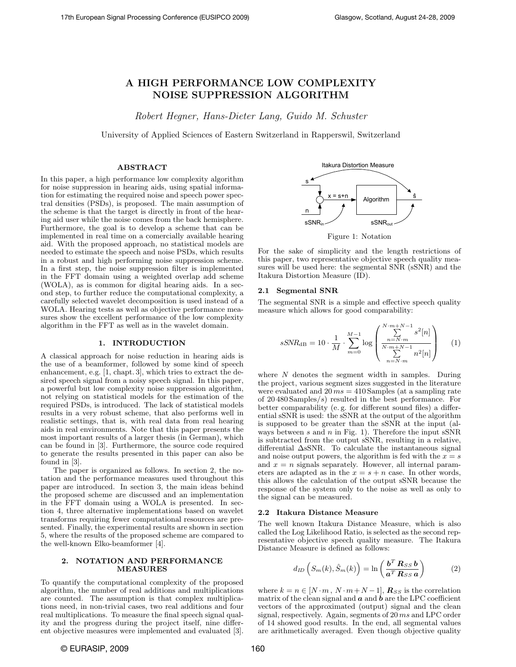# A HIGH PERFORMANCE LOW COMPLEXITY NOISE SUPPRESSION ALGORITHM

Robert Hegner, Hans-Dieter Lang, Guido M. Schuster

University of Applied Sciences of Eastern Switzerland in Rapperswil, Switzerland

# ABSTRACT

In this paper, a high performance low complexity algorithm for noise suppression in hearing aids, using spatial information for estimating the required noise and speech power spectral densities (PSDs), is proposed. The main assumption of the scheme is that the target is directly in front of the hearing aid user while the noise comes from the back hemisphere. Furthermore, the goal is to develop a scheme that can be implemented in real time on a comercially available hearing aid. With the proposed approach, no statistical models are needed to estimate the speech and noise PSDs, which results in a robust and high performing noise suppression scheme. In a first step, the noise suppression filter is implemented in the FFT domain using a weighted overlap add scheme (WOLA), as is common for digital hearing aids. In a second step, to further reduce the computational complexity, a carefully selected wavelet decomposition is used instead of a WOLA. Hearing tests as well as objective performance measures show the excellent performance of the low complexity algorithm in the FFT as well as in the wavelet domain.

## 1. INTRODUCTION

A classical approach for noise reduction in hearing aids is the use of a beamformer, followed by some kind of speech enhancement, e.g. [\[1,](#page-3-0) chapt. 3], which tries to extract the desired speech signal from a noisy speech signal. In this paper, a powerful but low complexity noise suppression algorithm, not relying on statistical models for the estimation of the required PSDs, is introduced. The lack of statistical models results in a very robust scheme, that also performs well in realistic settings, that is, with real data from real hearing aids in real environments. Note that this paper presents the most important results of a larger thesis (in German), which can be found in [\[3\]](#page-3-1). Furthermore, the source code required to generate the results presented in this paper can also be found in [\[3\]](#page-3-1).

The paper is organized as follows. In section [2,](#page-0-0) the notation and the performance measures used throughout this paper are introduced. In section [3,](#page-1-0) the main ideas behind the proposed scheme are discussed and an implementation in the FFT domain using a WOLA is presented. In section [4,](#page-1-1) three alternative implementations based on wavelet transforms requiring fewer computational resources are presented. Finally, the experimental results are shown in section [5,](#page-3-2) where the results of the proposed scheme are compared to the well-known Elko-beamformer [\[4\]](#page-3-3).

# <span id="page-0-0"></span>2. NOTATION AND PERFORMANCE MEASURES

To quantify the computational complexity of the proposed algorithm, the number of real additions and multiplications are counted. The assumption is that complex multiplications need, in non-trivial cases, two real additions and four real multiplications. To measure the final speech signal quality and the progress during the project itself, nine different objective measures were implemented and evaluated [\[3\]](#page-3-1).



<span id="page-0-1"></span>Figure 1: Notation

For the sake of simplicity and the length restrictions of this paper, two representative objective speech quality measures will be used here: the segmental SNR (sSNR) and the Itakura Distortion Measure (ID).

# 2.1 Segmental SNR

The segmental SNR is a simple and effective speech quality measure which allows for good comparability:

$$
sSNR_{\text{dB}} = 10 \cdot \frac{1}{M} \cdot \sum_{m=0}^{M-1} \log \left( \frac{\sum_{n=N \cdot m}^{N \cdot m+N-1} s^2[n]}{N \cdot m + N \cdot 1} n^2[n] \right) \tag{1}
$$

where  $N$  denotes the segment width in samples. During the project, various segment sizes suggested in the literature were evaluated and  $20 \text{ ms} = 410 \text{ Samples}$  (at a sampling rate of 20 480 Samples/s) resulted in the best performance. For better comparability (e. g. for different sound files) a differential sSNR is used: the sSNR at the output of the algorithm is supposed to be greater than the sSNR at the input (always between  $s$  and  $n$  in Fig. [1\)](#page-0-1). Therefore the input  $sSNR$ is subtracted from the output sSNR, resulting in a relative, differential ∆sSNR. To calculate the instantaneous signal and noise output powers, the algorithm is fed with the  $x = s$ and  $x = n$  signals separately. However, all internal parameters are adapted as in the  $x = s + n$  case. In other words, this allows the calculation of the output sSNR because the response of the system only to the noise as well as only to the signal can be measured.

## 2.2 Itakura Distance Measure

The well known Itakura Distance Measure, which is also called the Log Likelihood Ratio, is selected as the second representative objective speech quality measure. The Itakura Distance Measure is defined as follows:

$$
d_{ID}\left(S_m(k), \hat{S}_m(k)\right) = \ln\left(\frac{\boldsymbol{b}^T \boldsymbol{R}_{SS} \boldsymbol{b}}{\boldsymbol{a}^T \boldsymbol{R}_{SS} \boldsymbol{a}}\right) \tag{2}
$$

where  $k = n \in [N \cdot m, N \cdot m + N - 1]$ ,  $\mathbb{R}_{SS}$  is the correlation matrix of the clean signal and  $\boldsymbol{a}$  and  $\boldsymbol{b}$  are the LPC coefficient vectors of the approximated (output) signal and the clean signal, respectively. Again, segments of 20 ms and LPC order of 14 showed good results. In the end, all segmental values are arithmetically averaged. Even though objective quality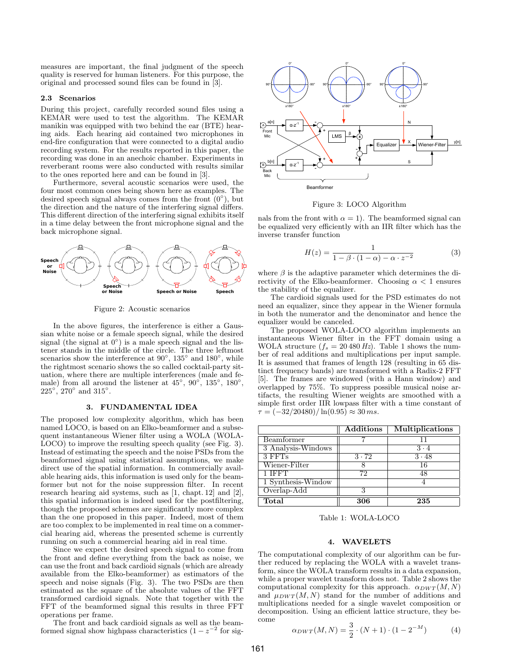measures are important, the final judgment of the speech quality is reserved for human listeners. For this purpose, the original and processed sound files can be found in [\[3\]](#page-3-1).

## 2.3 Scenarios

During this project, carefully recorded sound files using a KEMAR were used to test the algorithm. The KEMAR manikin was equipped with two behind the ear (BTE) hearing aids. Each hearing aid contained two microphones in end-fire configuration that were connected to a digital audio recording system. For the results reported in this paper, the recording was done in an anechoic chamber. Experiments in reverberant rooms were also conducted with results similar to the ones reported here and can be found in [\[3\]](#page-3-1).

Furthermore, several acoustic scenarios were used, the four most common ones being shown here as examples. The desired speech signal always comes from the front  $(0^{\circ})$ , but the direction and the nature of the interfering signal differs. This different direction of the interfering signal exhibits itself in a time delay between the front microphone signal and the back microphone signal.



<span id="page-1-5"></span>Figure 2: Acoustic scenarios

In the above figures, the interference is either a Gaussian white noise or a female speech signal, while the desired signal (the signal at  $0^{\circ}$ ) is a male speech signal and the listener stands in the middle of the circle. The three leftmost scenarios show the interference at  $90^\circ$ ,  $135^\circ$  and  $180^\circ$ , while the rightmost scenario shows the so called cocktail-party situation, where there are multiple interferences (male and female) from all around the listener at  $45^{\circ}$ ,  $90^{\circ}$ ,  $135^{\circ}$ ,  $180^{\circ}$ ,  $225^{\circ}$ ,  $270^{\circ}$  and  $315^{\circ}$ .

# 3. FUNDAMENTAL IDEA

<span id="page-1-0"></span>The proposed low complexity algorithm, which has been named LOCO, is based on an Elko-beamformer and a subsequent instantaneous Wiener filter using a WOLA (WOLA-LOCO) to improve the resulting speech quality (see Fig. [3\)](#page-1-2). Instead of estimating the speech and the noise PSDs from the beamformed signal using statistical assumptions, we make direct use of the spatial information. In commercially available hearing aids, this information is used only for the beamformer but not for the noise suppression filter. In recent research hearing aid systems, such as [\[1,](#page-3-0) chapt. 12] and [\[2\]](#page-3-4), this spatial information is indeed used for the postfiltering, though the proposed schemes are significantly more complex than the one proposed in this paper. Indeed, most of them are too complex to be implemented in real time on a commercial hearing aid, whereas the presented scheme is currently running on such a commercial hearing aid in real time.

Since we expect the desired speech signal to come from the front and define everything from the back as noise, we can use the front and back cardioid signals (which are already available from the Elko-beamformer) as estimators of the speech and noise signals (Fig. [3\)](#page-1-2). The two PSDs are then estimated as the square of the absolute values of the FFT transformed cardioid signals. Note that together with the FFT of the beamformed signal this results in three FFT operations per frame.

The front and back cardioid signals as well as the beamformed signal show highpass characteristics  $(1 - z^{-2})$  for sig-



<span id="page-1-2"></span>Figure 3: LOCO Algorithm

nals from the front with  $\alpha = 1$ . The beamformed signal can be equalized very efficiently with an IIR filter which has the inverse transfer function

$$
H(z) = \frac{1}{1 - \beta \cdot (1 - \alpha) - \alpha \cdot z^{-2}}\tag{3}
$$

where  $\beta$  is the adaptive parameter which determines the directivity of the Elko-beamformer. Choosing  $\alpha < 1$  ensures the stability of the equalizer.

The cardioid signals used for the PSD estimates do not need an equalizer, since they appear in the Wiener formula in both the numerator and the denominator and hence the equalizer would be canceled.

The proposed WOLA-LOCO algorithm implements an instantaneous Wiener filter in the FFT domain using a WOLA structure  $(f_s = 20\,480\,Hz)$ . Table [1](#page-1-3) shows the number of real additions and multiplications per input sample. It is assumed that frames of length 128 (resulting in 65 distinct frequency bands) are transformed with a Radix-2 FFT [\[5\]](#page-3-5). The frames are windowed (with a Hann window) and overlapped by 75%. To suppress possible musical noise artifacts, the resulting Wiener weights are smoothed with a simple first order IIR lowpass filter with a time constant of  $\tau = (-32/20480)/\ln(0.95) \approx 30$  ms.

|                    | Additions    | Multiplications |
|--------------------|--------------|-----------------|
| Beamformer         |              |                 |
| 3 Analysis-Windows |              | $3 \cdot 4$     |
| $3$ FFTs           | $3 \cdot 72$ | $3 \cdot 48$    |
| Wiener-Filter      |              | 16              |
| 1 IFFT             | 72           | 48              |
| 1 Synthesis-Window |              |                 |
| Overlap-Add        |              |                 |
| Total              | 306          | 235             |

<span id="page-1-3"></span>Table 1: WOLA-LOCO

#### 4. WAVELETS

<span id="page-1-1"></span>The computational complexity of our algorithm can be further reduced by replacing the WOLA with a wavelet transform, since the WOLA transform results in a data expansion, while a proper wavelet transform does not. Table [2](#page-2-0) shows the computational complexity for this approach.  $\alpha_{DWT}(M, N)$ and  $\mu_{DWT}(M, N)$  stand for the number of additions and multiplications needed for a single wavelet composition or decomposition. Using an efficient lattice structure, they become

<span id="page-1-4"></span>
$$
\alpha_{DWT}(M, N) = \frac{3}{2} \cdot (N+1) \cdot (1 - 2^{-M}) \tag{4}
$$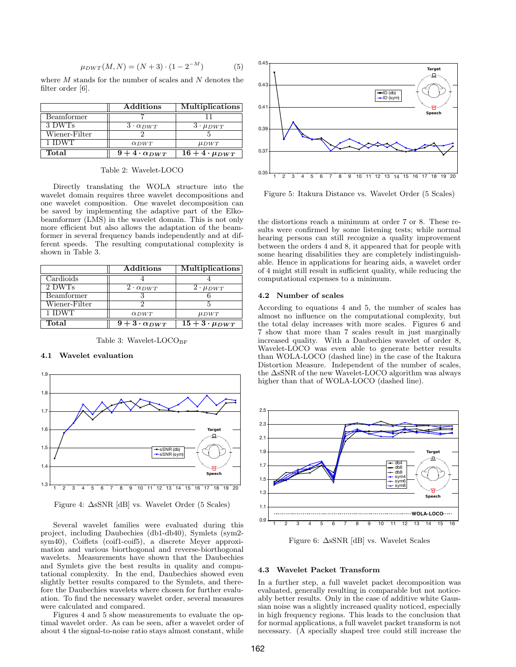<span id="page-2-4"></span>
$$
\mu_{DWT}(M, N) = (N+3) \cdot (1 - 2^{-M}) \tag{5}
$$

where  $M$  stands for the number of scales and  $N$  denotes the filter order  $[6]$ .

|               | Additions                         | <b>Multiplications</b> |
|---------------|-----------------------------------|------------------------|
| Beamformer    |                                   |                        |
| 3 DWTs        | 3.000T                            | $3 \cdot \mu_{DWT}$    |
| Wiener-Filter |                                   |                        |
| 1 IDWT        | $\alpha_{DWT}$                    | $\mu_{DWT}$            |
| Total         | $\sqrt{9} + 4 \cdot \alpha_{DWT}$ | $16+4\cdot\mu_{DWT}$   |

<span id="page-2-0"></span>Table 2: Wavelet-LOCO

Directly translating the WOLA structure into the wavelet domain requires three wavelet decompositions and one wavelet composition. One wavelet decomposition can be saved by implementing the adaptive part of the Elkobeamformer (LMS) in the wavelet domain. This is not only more efficient but also allows the adaptation of the beamformer in several frequency bands independently and at different speeds. The resulting computational complexity is shown in Table 3.

|               | Additions               | <b>Multiplications</b> |
|---------------|-------------------------|------------------------|
| Cardioids     |                         |                        |
| 2 DWTs        | $2 \cdot \alpha_{DWT}$  | $2 \cdot \mu_{DWT}$    |
| Beamformer    |                         |                        |
| Wiener-Filter |                         |                        |
| 1 IDWT        | $\alpha_{DWT}$          | $\mu_{DWT}$            |
| Total         | $9+3\cdot \alpha_{DWT}$ | $15+3.0 \mu_{DWT}$     |

<span id="page-2-1"></span>Table 3: Wavelet-LOCOBE

# 4.1 Wavelet evaluation



<span id="page-2-2"></span>Figure 4:  $\Delta$ sSNR [dB] vs. Wavelet Order (5 Scales)

Several wavelet families were evaluated during this project, including Daubechies (db1-db40), Symlets (sym2sym40), Coiflets (coif1-coif5), a discrete Meyer approximation and various biorthogonal and reverse-biorthogonal wavelets. Measurements have shown that the Daubechies and Symlets give the best results in quality and computational complexity. In the end, Daubechies showed even slightly better results compared to the Symlets, and therefore the Daubechies wavelets where chosen for further evaluation. To find the necessary wavelet order, several measures were calculated and compared.

Figures 4 and 5 show measurements to evaluate the optimal wavelet order. As can be seen, after a wavelet order of about 4 the signal-to-noise ratio stays almost constant, while



<span id="page-2-3"></span>Figure 5: Itakura Distance vs. Wavelet Order (5 Scales)

the distortions reach a minimum at order 7 or 8. These results were confirmed by some listening tests; while normal hearing persons can still recognize a quality improvement between the orders 4 and 8, it appeared that for people with some hearing disabilities they are completely indistinguishable. Hence in applications for hearing aids, a wavelet order of 4 might still result in sufficient quality, while reducing the computational expenses to a minimum.

## 4.2 Number of scales

According to equations 4 and 5, the number of scales has almost no influence on the computational complexity, but the total delay increases with more scales. Figures 6 and 7 show that more than 7 scales result in just marginally increased quality. With a Daubechies wavelet of order 8, Wavelet-LOCO was even able to generate better results than WOLA-LOCO (dashed line) in the case of the Itakura Distortion Measure. Independent of the number of scales, the  $\Delta$ sSNR of the new Wavelet-LOCO algorithm was always higher than that of WOLA-LOCO (dashed line).



<span id="page-2-5"></span>Figure 6:  $\Delta$ sSNR [dB] vs. Wavelet Scales

#### 4.3 Wavelet Packet Transform

In a further step, a full wavelet packet decomposition was evaluated, generally resulting in comparable but not noticeably better results. Only in the case of additive white Gaussian noise was a slightly increased quality noticed, especially in high frequency regions. This leads to the conclusion that for normal applications, a full wavelet packet transform is not necessary. (A specially shaped tree could still increase the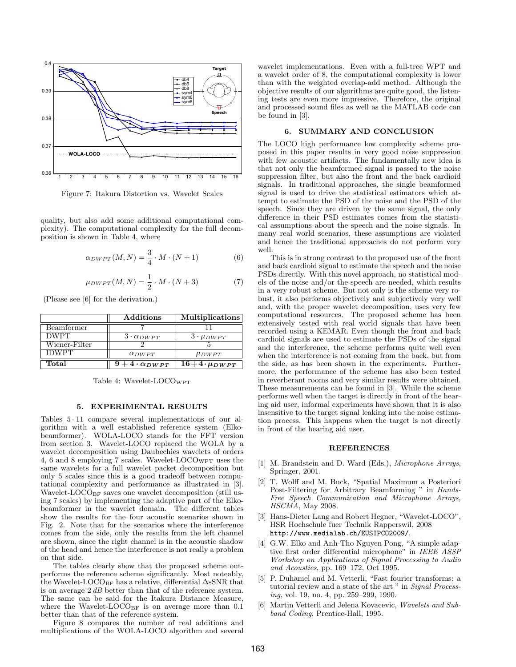

<span id="page-3-7"></span>Figure 7: Itakura Distortion vs. Wavelet Scales

quality, but also add some additional computational complexity). The computational complexity for the full decomposition is shown in Table [4,](#page-3-8) where

$$
\alpha_{DWPT}(M,N) = \frac{3}{4} \cdot M \cdot (N+1) \tag{6}
$$

$$
\mu_{DWPT}(M,N) = \frac{1}{2} \cdot M \cdot (N+3) \tag{7}
$$

(Please see [\[6\]](#page-3-6) for the derivation.)

|               | $\rm{Additions}$        | <b>Multiplications</b> |
|---------------|-------------------------|------------------------|
| Beamformer    |                         |                        |
| <b>DWPT</b>   | $3 \cdot \alpha_{DWPT}$ | $3.1$ $\mu_{DWPT}$     |
| Wiener-Filter |                         |                        |
| <b>IDWPT</b>  | $\alpha_{DWPT}$         | $\mu_{DWPT}$           |
| Total         | 4.00WPT                 | $16+4.$ $\mu_{DWPT}$   |

<span id="page-3-8"></span>Table 4: Wavelet-LOCO<sub>WPT</sub>

## 5. EXPERIMENTAL RESULTS

<span id="page-3-2"></span>Tables [5](#page-4-0) - [11](#page-4-1) compare several implementations of our algorithm with a well established reference system (Elkobeamformer). WOLA-LOCO stands for the FFT version from section [3.](#page-1-0) Wavelet-LOCO replaced the WOLA by a wavelet decomposition using Daubechies wavelets of orders 4, 6 and 8 employing 7 scales. Wavelet-LOCO<sub>WPT</sub> uses the same wavelets for a full wavelet packet decomposition but only 5 scales since this is a good tradeoff between computational complexity and performance as illustrated in [\[3\]](#page-3-1). Wavelet-LOCO<sub>BF</sub> saves one wavelet decomposition (still using 7 scales) by implementing the adaptive part of the Elkobeamformer in the wavelet domain. The different tables show the results for the four acoustic scenarios shown in Fig. [2.](#page-1-5) Note that for the scenarios where the interference comes from the side, only the results from the left channel are shown, since the right channel is in the acoustic shadow of the head and hence the interference is not really a problem on that side.

The tables clearly show that the proposed scheme outperforms the reference scheme significantly. Most noteably, the Wavelet-LOCO<sub>BF</sub> has a relative, differential  $\Delta$ sSNR that is on average 2 dB better than that of the reference system. The same can be said for the Itakura Distance Measure, where the Wavelet-LOCO<sub>BF</sub> is on average more than  $0.1$ better than that of the reference system.

Figure [8](#page-4-2) compares the number of real additions and multiplications of the WOLA-LOCO algorithm and several wavelet implementations. Even with a full-tree WPT and a wavelet order of 8, the computational complexity is lower than with the weighted overlap-add method. Although the objective results of our algorithms are quite good, the listening tests are even more impressive. Therefore, the original and processed sound files as well as the MATLAB code can be found in [\[3\]](#page-3-1).

#### 6. SUMMARY AND CONCLUSION

The LOCO high performance low complexity scheme proposed in this paper results in very good noise suppression with few acoustic artifacts. The fundamentally new idea is that not only the beamformed signal is passed to the noise suppression filter, but also the front and the back cardioid signals. In traditional approaches, the single beamformed signal is used to drive the statistical estimators which attempt to estimate the PSD of the noise and the PSD of the speech. Since they are driven by the same signal, the only difference in their PSD estimates comes from the statistical assumptions about the speech and the noise signals. In many real world scenarios, these assumptions are violated and hence the traditional approaches do not perform very well.

This is in strong contrast to the proposed use of the front and back cardioid signal to estimate the speech and the noise PSDs directly. With this novel approach, no statistical models of the noise and/or the speech are needed, which results in a very robust scheme. But not only is the scheme very robust, it also performs objectively and subjectively very well and, with the proper wavelet decomposition, uses very few computational resources. The proposed scheme has been extensively tested with real world signals that have been recorded using a KEMAR. Even though the front and back cardioid signals are used to estimate the PSDs of the signal and the interference, the scheme performs quite well even when the interference is not coming from the back, but from the side, as has been shown in the experiments. Furthermore, the performance of the scheme has also been tested in reverberant rooms and very similar results were obtained. These measurements can be found in [\[3\]](#page-3-1). While the scheme performs well when the target is directly in front of the hearing aid user, informal experiments have shown that it is also insensitive to the target signal leaking into the noise estimation process. This happens when the target is not directly in front of the hearing aid user.

#### REFERENCES

- <span id="page-3-0"></span>[1] M. Brandstein and D. Ward (Eds.), Microphone Arrays, Springer, 2001.
- <span id="page-3-4"></span>[2] T. Wolff and M. Buck, "Spatial Maximum a Posteriori Post-Filtering for Arbitrary Beamforming " in Hands-Free Speech Communication and Microphone Arrays, HSCMA, May 2008.
- <span id="page-3-1"></span>[3] Hans-Dieter Lang and Robert Hegner, "Wavelet-LOCO", HSR Hochschule fuer Technik Rapperswil, 2008 <http://www.medialab.ch/EUSIPCO2009/>.
- <span id="page-3-3"></span>[4] G.W. Elko and Anh-Tho Nguyen Pong, "A simple adaptive first order differential microphone" in IEEE ASSP Workshop on Applications of Signal Processing to Audio and Acoustics, pp. 169–172, Oct 1995.
- <span id="page-3-5"></span>[5] P. Duhamel and M. Vetterli, "Fast fourier transforms: a tutorial review and a state of the art " in Signal Processing, vol. 19, no. 4, pp. 259–299, 1990.
- <span id="page-3-6"></span>[6] Martin Vetterli and Jelena Kovacevic, Wavelets and Subband Coding, Prentice-Hall, 1995.